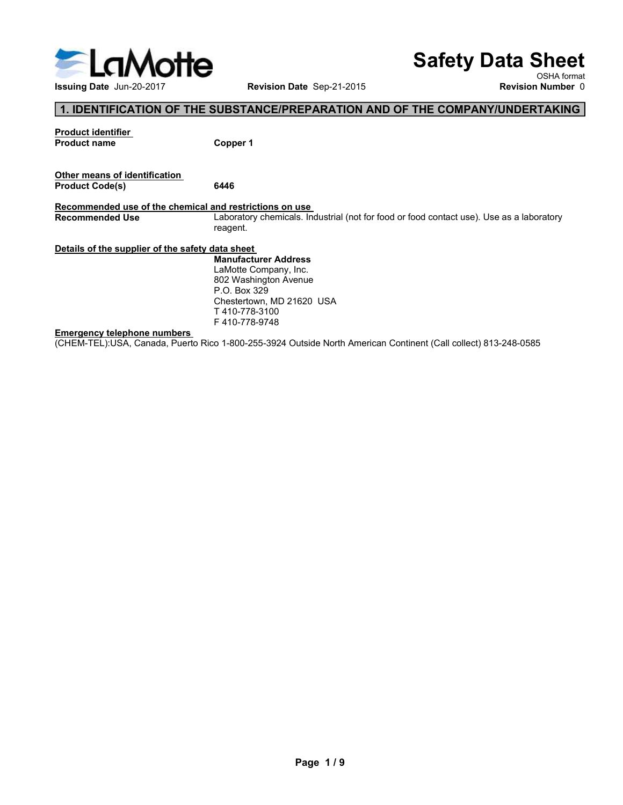

# Safety Data Sheet

OSHA format<br>Revision Number 0

### 1. IDENTIFICATION OF THE SUBSTANCE/PREPARATION AND OF THE COMPANY/UNDERTAKING

S<br>
Susuing Date Jun-20-2017<br>
1. IDENTIFICATION OF THE SUBSTANCE/PREPARATION AND OF THE<br>
Product identifier<br>
Product name<br>
Other means of identification<br>
Product Code(s)<br>
6446 Safety Data Sintary Control Revision Date Sep-21-2015<br>
In the State Jun-20-2017<br>
Revision Date Sep-21-2015<br>
Product identifier<br>
Product name Copper 1<br>
Other means of identification<br>
Product Code(s) 6446<br>
Recommended use of Safe<br>
Issuing Date Jun-20-2017<br>
I. IDENTIFICATION OF THE SUBSTANCE/PREPARATION AND OF THE CONTROLL ISSUE THE SUBSTANCE/PREPARATION AND OF THE CONTROLL ISSUE THE CONTROLL OF THE SUBSTANCE/PREPARATION AND OF THE CONTROLL OF Safety Data Sintang Date Jun-20-2017<br>
Issuing Date Jun-20-2017<br>
The Comment of THE SUBSTANCE/PREPARATION AND OF THE COMPANY/UNDERT/<br>
Product identifier<br>
Product Code(s)<br>
Product Code(s)<br>
Recommended Use of the chemical and Safety Data Sheet<br>
Issuing Date Jun-20-2017<br>
Revision Date Sep-21-2015<br>
Revision Number 0<br>
Recoluct Lentifler<br>
Product Code(s)<br>
Product Code(s)<br>
Product Code(s)<br>
Product Code(s)<br>
Recommended Use of the chemical and restric Safety Data Sheet<br>
Issuing Date Jun-20-2017<br>
1. IDENTIFICATION OF THE SUBSTANCE/PREPARATION AND OF THE COMPANY/UNDERTAKING<br>
Product chemical content<br>
Product Code(s)<br>
Other means of identification<br>
Product Code(s)<br>
Product reagent. Safety Data Sheeted Uses<br>
In UNITE CALL THE SUBSTANCE/PREPARATION AND OF THE COMPANY/UNDERTAKING THE<br>
Product identifier<br>
Product code(s)<br>
Product code(s)<br>
Product code(s)<br>
Product code(s)<br>
Product code(s)<br>
Product code(s) Emergency telephone numbers<br>
Emergency telephone numbers<br>
The five of the company inc.<br>
Compared the chemical and restrictions on use<br>
Recommended use of the chemical and restrictions on use<br>
Recommended use of the chemica (Sevident Detail of The Substitution Continent Call comparison and the Substitution Continent Comparison and Comparison Comparison and Product Code(s)<br>
Product Code(s)<br>
Product Code(s)<br>
Product Code(s)<br>
Recommended Use of **Safety Data Sheet**<br>
Revision Date Sep-21-2015<br>
NUBSTANCE/PREPARATION AND OF THE COMPANY/UNDERTAKING<br>
Copper 1<br> **Safety of the COMPANY/UNDERTAKING**<br>
Copper 1<br> **Example 1**<br> **Example 1**<br> **Example 1**<br> **Example 1**<br> **Example 1 Safety Data Sheet**<br>
Revision Date Sep-21-2015<br>
ISBN Aformat<br>
Revision Number 0<br>
SUBSTANCE/PREPARATION AND OF THE COMPANY/UNDERTAKING<br>
Copper 1<br>
6446<br>
Individualism on use.<br>
Intervention of the Company increases<br>
Manufactu **Safety Data Sheet**<br>
Revision Date Sep-21-2015<br> **SOBSTANCE/PREPARATION AND OF THE COMPANY/UNDERTAKING**<br>
SUBSTANCE/PREPARATION AND OF THE COMPANY/UNDERTAKING<br>
Copper 1<br>
Laboratory chemicals. Industrial (not for food or food **Safety Data Sheet**<br>
Revision Date Sep-21-2015<br>
Revision Number 0<br>
SUBSTANCE/PREPARATION AND OF THE COMPANY/UNDERTAKING<br>
Copper 1<br>
Copper 1<br>
Laboratory chemicals. Industrial (not for food or food contact use). Use as a lab

P.O. Box 329<br>Chestertown, MD 21620 USA T 410-778-3100 F 410-778-9748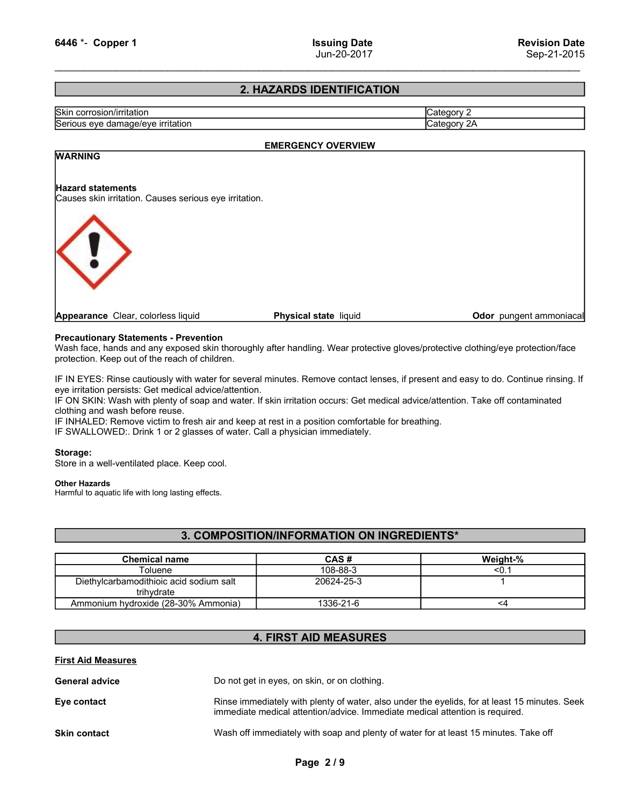### 2. HAZARDS IDENTIFICATION

| 6446 *- Copper 1                                                                                                                                                                                                                                                                                                                                                   | <b>Issuing Date</b><br>Jun-20-2017 | <b>Revision Date</b><br>Sep-21-2015 |
|--------------------------------------------------------------------------------------------------------------------------------------------------------------------------------------------------------------------------------------------------------------------------------------------------------------------------------------------------------------------|------------------------------------|-------------------------------------|
|                                                                                                                                                                                                                                                                                                                                                                    | 2. HAZARDS IDENTIFICATION          |                                     |
| Skin corrosion/irritation                                                                                                                                                                                                                                                                                                                                          |                                    | Category 2                          |
| Serious eye damage/eye irritation                                                                                                                                                                                                                                                                                                                                  |                                    | Category 2A                         |
|                                                                                                                                                                                                                                                                                                                                                                    | <b>EMERGENCY OVERVIEW</b>          |                                     |
| <b>WARNING</b>                                                                                                                                                                                                                                                                                                                                                     |                                    |                                     |
| <b>Hazard statements</b><br>Causes skin irritation. Causes serious eye irritation.                                                                                                                                                                                                                                                                                 |                                    |                                     |
|                                                                                                                                                                                                                                                                                                                                                                    |                                    |                                     |
|                                                                                                                                                                                                                                                                                                                                                                    |                                    |                                     |
| Appearance Clear, colorless liquid                                                                                                                                                                                                                                                                                                                                 | Physical state liquid              | Odor pungent ammoniacal             |
| <b>Precautionary Statements - Prevention</b><br>Wash face, hands and any exposed skin thoroughly after handling. Wear protective gloves/protective clothing/eye protection/face<br>protection. Keep out of the reach of children.                                                                                                                                  |                                    |                                     |
| IF IN EYES: Rinse cautiously with water for several minutes. Remove contact lenses, if present and easy to do. Continue rinsing. If<br>eye irritation persists: Get medical advice/attention.<br>IF ON SKIN: Wash with plenty of soap and water. If skin irritation occurs: Get medical advice/attention. Take off contaminated<br>clothing and wash before reuse. |                                    |                                     |
| IF INHALED: Remove victim to fresh air and keep at rest in a position comfortable for breathing.                                                                                                                                                                                                                                                                   |                                    |                                     |

### EMERGENCY OVERVIEW

### WARNING



IF IN EXECT CONTERN FROM THE CONTERN FROM THE CONTERN FROM THE CONTERN FROM THE CONTERN FROM THE CONTERN FROM THE CONTERN FROM THE CONTERN FROM THE CONTERN CONTERN FROM THE CONTERN CONTERN CONTERN CONTERN CONTERN CONTERN C EMERGENCY OVERVIEW<br>
VARNING<br>
Hazard statements<br>
Causes skin irritation. Causes serious eye irritation.<br>
Causes skin irritation. Causes serious eye irritation.<br>
Physical state liquid<br>
Physical state liquid<br>
Physical state l VARINING<br>
IF ON SCRIPT CRUST CRUST CRUST CRUST CRUST CRUST CRUST CRUST CRUST CRUST CRUST CRUST CRUST CRUST CRUST CRUST CRUST CRUST CRUST CRUST CRUST CRUST CRUST CRUST CRUST CRUST CRUST CRUST CRUST CRUST CRUST CRUST CRUST C EMERIGENCY OVERVIEW<br>
Hazard statements<br>
Causes skin irritation. Causes serious eye irritation.<br> **Appearance** Clear, coloriess liquid<br> **Appearance** Clear, coloriess liquid<br>
Physical state liquid<br>
Mash face, hands and any ex **MARKING**<br> **IF INDEXEMATE STAD CONSETS AND ASSESS SERVE AIR AND ASSESS SERVERT AND ARROW TO A PORT AND ARROW TO A PORT A<br>
<b>Procession faces** and any exposed skin throughly after handling. Wear protective gloves/protective **IF SWALLOWED:**<br> **Appearance Clear, coloriess liquid**<br> **Physical state liquid**<br> **Drink 1 or 2 dots**<br> **Precentionary Statements - Prevention**<br> **Probably, and any exposed skin thoroughly after handling. Wear protective glove** Causes sinh imitation. Causes serious eye imitation.<br> **Appearance** Clear, coloriess liquid<br> **Proceutionary Statements - Prevention**<br>
Wash face, hands and any exposed skin throughly after handling. Wear protective gloves/pr

### Other Hazards

### 3. COMPOSITION/INFORMATION ON INGREDIENTS\*

| Appearance Clear, colorless liquid                                                                                                                                       | <b>Physical state liquid</b>                                                                     | <b>Odor</b> pungent ammoniacal                                                                                                                                                                                                                                        |
|--------------------------------------------------------------------------------------------------------------------------------------------------------------------------|--------------------------------------------------------------------------------------------------|-----------------------------------------------------------------------------------------------------------------------------------------------------------------------------------------------------------------------------------------------------------------------|
| <b>Precautionary Statements - Prevention</b><br>protection. Keep out of the reach of children.                                                                           |                                                                                                  | Wash face, hands and any exposed skin thoroughly after handling. Wear protective gloves/protective clothing/eye protection/face                                                                                                                                       |
| eye irritation persists: Get medical advice/attention.<br>clothing and wash before reuse.<br>IF SWALLOWED:. Drink 1 or 2 glasses of water. Call a physician immediately. | IF INHALED: Remove victim to fresh air and keep at rest in a position comfortable for breathing. | IF IN EYES: Rinse cautiously with water for several minutes. Remove contact lenses, if present and easy to do. Continue rinsing. If<br>IF ON SKIN: Wash with plenty of soap and water. If skin irritation occurs: Get medical advice/attention. Take off contaminated |
| Storage:<br>Store in a well-ventilated place. Keep cool.                                                                                                                 |                                                                                                  |                                                                                                                                                                                                                                                                       |
| <b>Other Hazards</b><br>Harmful to aquatic life with long lasting effects.                                                                                               | 3. COMPOSITION/INFORMATION ON INGREDIENTS*                                                       |                                                                                                                                                                                                                                                                       |
| <b>Chemical name</b>                                                                                                                                                     | CAS#                                                                                             | Weight-%                                                                                                                                                                                                                                                              |
| Toluene                                                                                                                                                                  | 108-88-3                                                                                         | < 0.1                                                                                                                                                                                                                                                                 |
| Diethylcarbamodithioic acid sodium salt<br>trihydrate                                                                                                                    | 20624-25-3                                                                                       | 1                                                                                                                                                                                                                                                                     |
| Ammonium hydroxide (28-30% Ammonia)                                                                                                                                      | 1336-21-6                                                                                        | $<$ 4                                                                                                                                                                                                                                                                 |
|                                                                                                                                                                          | <b>4. FIRST AID MEASURES</b>                                                                     |                                                                                                                                                                                                                                                                       |
|                                                                                                                                                                          |                                                                                                  |                                                                                                                                                                                                                                                                       |
| <b>First Aid Measures</b>                                                                                                                                                |                                                                                                  |                                                                                                                                                                                                                                                                       |
| <b>General advice</b>                                                                                                                                                    | Do not get in eyes, on skin, or on clothing.                                                     |                                                                                                                                                                                                                                                                       |
| Eye contact                                                                                                                                                              | immediate medical attention/advice. Immediate medical attention is required.                     | Rinse immediately with plenty of water, also under the eyelids, for at least 15 minutes. Seek                                                                                                                                                                         |

### 4. FIRST AID MEASURES

| IF INHALED: Remove victim to fresh air and keep at rest in a position comfortable for breathing.<br>IF SWALLOWED:. Drink 1 or 2 glasses of water. Call a physician immediately. |  |                                                                                                                                                                               |          |  |  |  |
|---------------------------------------------------------------------------------------------------------------------------------------------------------------------------------|--|-------------------------------------------------------------------------------------------------------------------------------------------------------------------------------|----------|--|--|--|
| Storage:<br>Store in a well-ventilated place. Keep cool.                                                                                                                        |  |                                                                                                                                                                               |          |  |  |  |
| <b>Other Hazards</b><br>Harmful to aquatic life with long lasting effects.                                                                                                      |  |                                                                                                                                                                               |          |  |  |  |
|                                                                                                                                                                                 |  | 3. COMPOSITION/INFORMATION ON INGREDIENTS*                                                                                                                                    |          |  |  |  |
| <b>Chemical name</b>                                                                                                                                                            |  | CAS#                                                                                                                                                                          | Weight-% |  |  |  |
| Toluene                                                                                                                                                                         |  | 108-88-3                                                                                                                                                                      | < 0.1    |  |  |  |
| Diethylcarbamodithioic acid sodium salt<br>trihydrate                                                                                                                           |  | 20624-25-3                                                                                                                                                                    | -1       |  |  |  |
| Ammonium hydroxide (28-30% Ammonia)                                                                                                                                             |  | 1336-21-6                                                                                                                                                                     | $<4$     |  |  |  |
|                                                                                                                                                                                 |  | <b>4. FIRST AID MEASURES</b>                                                                                                                                                  |          |  |  |  |
| <b>First Aid Measures</b>                                                                                                                                                       |  |                                                                                                                                                                               |          |  |  |  |
| <b>General advice</b>                                                                                                                                                           |  | Do not get in eyes, on skin, or on clothing.                                                                                                                                  |          |  |  |  |
| Eye contact                                                                                                                                                                     |  | Rinse immediately with plenty of water, also under the eyelids, for at least 15 minutes. Seek<br>immediate medical attention/advice. Immediate medical attention is required. |          |  |  |  |
| <b>Skin contact</b>                                                                                                                                                             |  | Wash off immediately with soap and plenty of water for at least 15 minutes. Take off                                                                                          |          |  |  |  |
|                                                                                                                                                                                 |  | Page 2/9                                                                                                                                                                      |          |  |  |  |
|                                                                                                                                                                                 |  |                                                                                                                                                                               |          |  |  |  |
|                                                                                                                                                                                 |  |                                                                                                                                                                               |          |  |  |  |
|                                                                                                                                                                                 |  |                                                                                                                                                                               |          |  |  |  |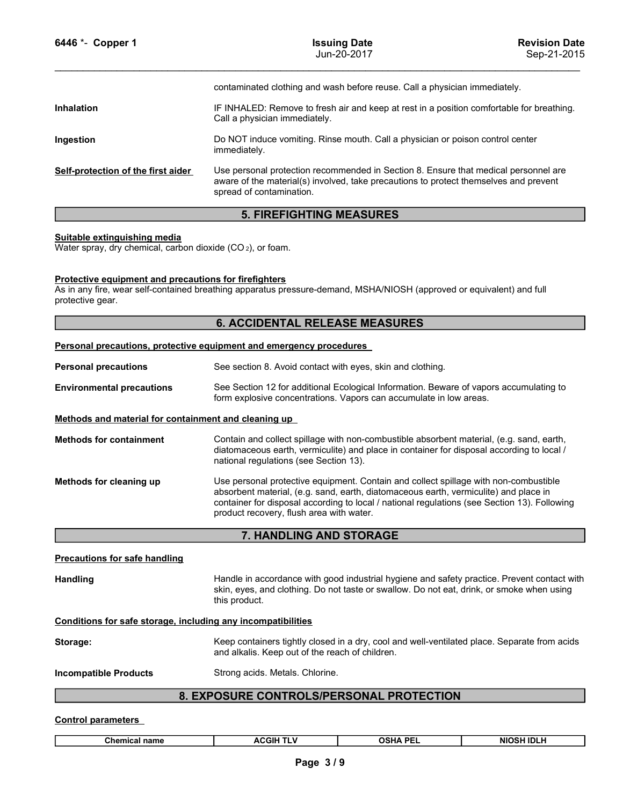| 6446 *- Copper 1                                                                                       | <b>Issuing Date</b><br>Jun-20-2017                                                                                                                                                                                              | <b>Revision Date</b><br>Sep-21-2015 |  |  |  |  |
|--------------------------------------------------------------------------------------------------------|---------------------------------------------------------------------------------------------------------------------------------------------------------------------------------------------------------------------------------|-------------------------------------|--|--|--|--|
|                                                                                                        | contaminated clothing and wash before reuse. Call a physician immediately.                                                                                                                                                      |                                     |  |  |  |  |
| <b>Inhalation</b>                                                                                      | IF INHALED: Remove to fresh air and keep at rest in a position comfortable for breathing.<br>Call a physician immediately.                                                                                                      |                                     |  |  |  |  |
| Ingestion                                                                                              | Do NOT induce vomiting. Rinse mouth. Call a physician or poison control center<br>immediately.                                                                                                                                  |                                     |  |  |  |  |
| Self-protection of the first aider                                                                     | Use personal protection recommended in Section 8. Ensure that medical personnel are<br>aware of the material(s) involved, take precautions to protect themselves and prevent<br>spread of contamination.                        |                                     |  |  |  |  |
|                                                                                                        | <b>5. FIREFIGHTING MEASURES</b>                                                                                                                                                                                                 |                                     |  |  |  |  |
| Suitable extinguishing media<br>Water spray, dry chemical, carbon dioxide (CO <sub>2</sub> ), or foam. |                                                                                                                                                                                                                                 |                                     |  |  |  |  |
| Protective equipment and precautions for firefighters<br>protective gear.                              | As in any fire, wear self-contained breathing apparatus pressure-demand, MSHA/NIOSH (approved or equivalent) and full                                                                                                           |                                     |  |  |  |  |
|                                                                                                        | <b>6. ACCIDENTAL RELEASE MEASURES</b>                                                                                                                                                                                           |                                     |  |  |  |  |
|                                                                                                        | Personal precautions, protective equipment and emergency procedures                                                                                                                                                             |                                     |  |  |  |  |
| <b>Personal precautions</b>                                                                            | See section 8. Avoid contact with eyes, skin and clothing.                                                                                                                                                                      |                                     |  |  |  |  |
| <b>Environmental precautions</b>                                                                       | See Section 12 for additional Ecological Information. Beware of vapors accumulating to<br>form explosive concentrations. Vapors can accumulate in low areas.                                                                    |                                     |  |  |  |  |
| Methods and material for containment and cleaning up                                                   |                                                                                                                                                                                                                                 |                                     |  |  |  |  |
| <b>Methods for containment</b>                                                                         | Contain and collect spillage with non-combustible absorbent material, (e.g. sand, earth,<br>diatomaceous earth, vermiculite) and place in container for disposal according to local /<br>national regulations (see Section 13). |                                     |  |  |  |  |
| Methods for cleaning up                                                                                | Use personal protective equipment. Contain and collect spillage with non-combustible                                                                                                                                            |                                     |  |  |  |  |

### 5. FIREFIGHTING MEASURES

### 6. ACCIDENTAL RELEASE MEASURES

|                                                                                                                                                                                                           | aware of the material(s) involved, take precautions to protect themselves and prevent<br>spread of contamination.                                                                                                                                                                                                        |                                                                                                                                                 |                   |  |  |  |  |
|-----------------------------------------------------------------------------------------------------------------------------------------------------------------------------------------------------------|--------------------------------------------------------------------------------------------------------------------------------------------------------------------------------------------------------------------------------------------------------------------------------------------------------------------------|-------------------------------------------------------------------------------------------------------------------------------------------------|-------------------|--|--|--|--|
|                                                                                                                                                                                                           | <b>5. FIREFIGHTING MEASURES</b>                                                                                                                                                                                                                                                                                          |                                                                                                                                                 |                   |  |  |  |  |
| Suitable extinguishing media<br>Water spray, dry chemical, carbon dioxide (CO2), or foam.                                                                                                                 |                                                                                                                                                                                                                                                                                                                          |                                                                                                                                                 |                   |  |  |  |  |
| <b>Protective equipment and precautions for firefighters</b><br>As in any fire, wear self-contained breathing apparatus pressure-demand, MSHA/NIOSH (approved or equivalent) and full<br>protective gear. |                                                                                                                                                                                                                                                                                                                          |                                                                                                                                                 |                   |  |  |  |  |
|                                                                                                                                                                                                           | <b>6. ACCIDENTAL RELEASE MEASURES</b>                                                                                                                                                                                                                                                                                    |                                                                                                                                                 |                   |  |  |  |  |
| Personal precautions, protective equipment and emergency procedures                                                                                                                                       |                                                                                                                                                                                                                                                                                                                          |                                                                                                                                                 |                   |  |  |  |  |
| <b>Personal precautions</b>                                                                                                                                                                               | See section 8. Avoid contact with eyes, skin and clothing.                                                                                                                                                                                                                                                               |                                                                                                                                                 |                   |  |  |  |  |
| <b>Environmental precautions</b>                                                                                                                                                                          | See Section 12 for additional Ecological Information. Beware of vapors accumulating to<br>form explosive concentrations. Vapors can accumulate in low areas.                                                                                                                                                             |                                                                                                                                                 |                   |  |  |  |  |
| Methods and material for containment and cleaning up                                                                                                                                                      |                                                                                                                                                                                                                                                                                                                          |                                                                                                                                                 |                   |  |  |  |  |
| <b>Methods for containment</b>                                                                                                                                                                            | Contain and collect spillage with non-combustible absorbent material, (e.g. sand, earth,<br>diatomaceous earth, vermiculite) and place in container for disposal according to local /<br>national regulations (see Section 13).                                                                                          |                                                                                                                                                 |                   |  |  |  |  |
| Methods for cleaning up                                                                                                                                                                                   | Use personal protective equipment. Contain and collect spillage with non-combustible<br>absorbent material, (e.g. sand, earth, diatomaceous earth, vermiculite) and place in<br>container for disposal according to local / national regulations (see Section 13). Following<br>product recovery, flush area with water. |                                                                                                                                                 |                   |  |  |  |  |
|                                                                                                                                                                                                           | 7. HANDLING AND STORAGE                                                                                                                                                                                                                                                                                                  |                                                                                                                                                 |                   |  |  |  |  |
| <b>Precautions for safe handling</b>                                                                                                                                                                      |                                                                                                                                                                                                                                                                                                                          |                                                                                                                                                 |                   |  |  |  |  |
| <b>Handling</b>                                                                                                                                                                                           | Handle in accordance with good industrial hygiene and safety practice. Prevent contact with<br>skin, eyes, and clothing. Do not taste or swallow. Do not eat, drink, or smoke when using<br>this product.                                                                                                                |                                                                                                                                                 |                   |  |  |  |  |
| Conditions for safe storage, including any incompatibilities                                                                                                                                              |                                                                                                                                                                                                                                                                                                                          |                                                                                                                                                 |                   |  |  |  |  |
| Storage:                                                                                                                                                                                                  |                                                                                                                                                                                                                                                                                                                          | Keep containers tightly closed in a dry, cool and well-ventilated place. Separate from acids<br>and alkalis. Keep out of the reach of children. |                   |  |  |  |  |
| <b>Incompatible Products</b>                                                                                                                                                                              | Strong acids. Metals. Chlorine.                                                                                                                                                                                                                                                                                          |                                                                                                                                                 |                   |  |  |  |  |
|                                                                                                                                                                                                           | 8. EXPOSURE CONTROLS/PERSONAL PROTECTION                                                                                                                                                                                                                                                                                 |                                                                                                                                                 |                   |  |  |  |  |
| <b>Control parameters</b>                                                                                                                                                                                 |                                                                                                                                                                                                                                                                                                                          |                                                                                                                                                 |                   |  |  |  |  |
| <b>Chemical name</b>                                                                                                                                                                                      | <b>ACGIH TLV</b>                                                                                                                                                                                                                                                                                                         | <b>OSHA PEL</b>                                                                                                                                 | <b>NIOSH IDLH</b> |  |  |  |  |
|                                                                                                                                                                                                           | Page 3/9                                                                                                                                                                                                                                                                                                                 |                                                                                                                                                 |                   |  |  |  |  |

### 7. HANDLING AND STORAGE

represental protective equipment. Contain and collect pillage with non-combustible<br>absorbent material. (e.g. sand, earth, diatomaceous earth, vermicultie) and place in<br>container for diagosal according to local / national r al according to local / national regulations (see Section 13). Following<br>sh area with water.<br> **NG AND STORAGE**<br>
be with good industrial hygiene and safety practice. Prevent contact with<br>
hing. Do not taste or swallow. Do n

### 8. EXPOSURE CONTROLS/PERSONAL PROTECTION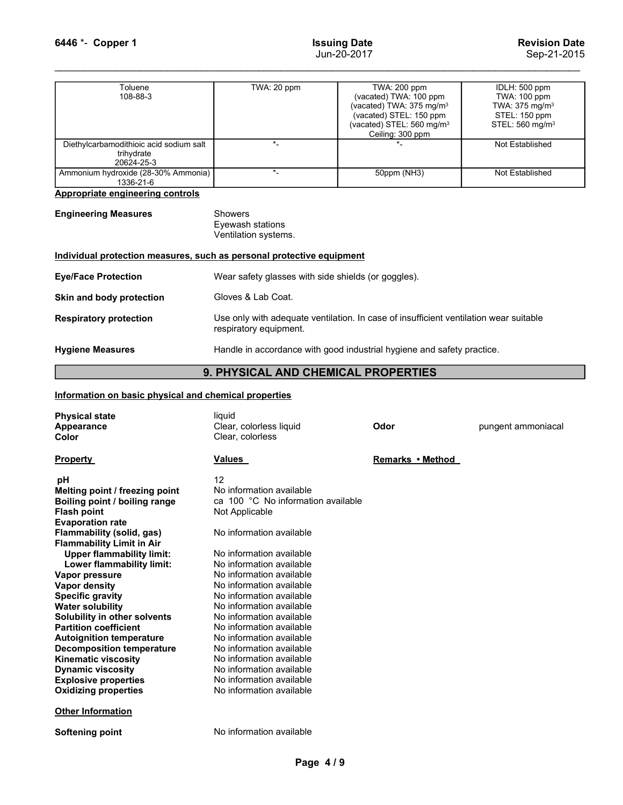| 6446 *- Copper 1                                                      | <b>Issuing Date</b><br>Jun-20-2017                                                                              | <b>Revision Date</b><br>Sep-21-2015                                                                                                |                                                                                            |  |  |
|-----------------------------------------------------------------------|-----------------------------------------------------------------------------------------------------------------|------------------------------------------------------------------------------------------------------------------------------------|--------------------------------------------------------------------------------------------|--|--|
| Toluene                                                               | TWA: 20 ppm                                                                                                     | TWA: 200 ppm                                                                                                                       | IDLH: 500 ppm                                                                              |  |  |
| 108-88-3                                                              |                                                                                                                 | (vacated) TWA: 100 ppm<br>(vacated) TWA: 375 mg/m <sup>3</sup><br>(vacated) STEL: 150 ppm<br>(vacated) STEL: 560 mg/m <sup>3</sup> | TWA: 100 ppm<br>TWA: 375 mg/m <sup>3</sup><br>STEL: 150 ppm<br>STEL: 560 mg/m <sup>3</sup> |  |  |
| Diethylcarbamodithioic acid sodium salt<br>trihydrate                 | $\star$                                                                                                         | Ceiling: 300 ppm<br>$\star$                                                                                                        | Not Established                                                                            |  |  |
| 20624-25-3<br>Ammonium hydroxide (28-30% Ammonia)<br>1336-21-6        | $\star$                                                                                                         | 50ppm (NH3)                                                                                                                        | Not Established                                                                            |  |  |
| Appropriate engineering controls                                      |                                                                                                                 |                                                                                                                                    |                                                                                            |  |  |
| <b>Engineering Measures</b>                                           | Showers<br>Eyewash stations<br>Ventilation systems.                                                             |                                                                                                                                    |                                                                                            |  |  |
| Individual protection measures, such as personal protective equipment |                                                                                                                 |                                                                                                                                    |                                                                                            |  |  |
| <b>Eye/Face Protection</b>                                            | Wear safety glasses with side shields (or goggles).                                                             |                                                                                                                                    |                                                                                            |  |  |
| Skin and body protection                                              | Gloves & Lab Coat.                                                                                              |                                                                                                                                    |                                                                                            |  |  |
|                                                                       | Use only with adequate ventilation. In case of insufficient ventilation wear suitable<br>respiratory equipment. |                                                                                                                                    |                                                                                            |  |  |
| <b>Respiratory protection</b>                                         | Handle in accordance with good industrial hygiene and safety practice.                                          |                                                                                                                                    |                                                                                            |  |  |
| <b>Hygiene Measures</b>                                               |                                                                                                                 |                                                                                                                                    |                                                                                            |  |  |

| <b>Engineering Measures</b> | Showers                                                                                                                                                                  |
|-----------------------------|--------------------------------------------------------------------------------------------------------------------------------------------------------------------------|
|                             | Eyewash station                                                                                                                                                          |
|                             | $\mathbf{V}$ $\mathbf{I} = \mathbf{I}$ $\mathbf{H} = \mathbf{I}$ $\mathbf{I} = \mathbf{I}$ $\mathbf{I} = \mathbf{I}$ $\mathbf{I} = \mathbf{I}$ $\mathbf{I} = \mathbf{I}$ |

| Toluene<br>108-88-3                                                          | TWA: 20 ppm                                                                                                     | TWA: 200 ppm<br>(vacated) TWA: 100 ppm<br>(vacated) TWA: 375 mg/m <sup>3</sup><br>(vacated) STEL: 150 ppm<br>(vacated) STEL: 560 mg/m <sup>3</sup><br>Ceiling: 300 ppm | IDLH: 500 ppm<br>TWA: 100 ppm<br>TWA: 375 mg/m <sup>3</sup><br>STEL: 150 ppm<br>STEL: 560 mg/m <sup>3</sup> |  |  |  |  |
|------------------------------------------------------------------------------|-----------------------------------------------------------------------------------------------------------------|------------------------------------------------------------------------------------------------------------------------------------------------------------------------|-------------------------------------------------------------------------------------------------------------|--|--|--|--|
| Diethylcarbamodithioic acid sodium salt<br>trihydrate<br>20624-25-3          | $\star$                                                                                                         |                                                                                                                                                                        | Not Established                                                                                             |  |  |  |  |
| Ammonium hydroxide (28-30% Ammonia)<br>1336-21-6                             | $\star$                                                                                                         | 50ppm (NH3)                                                                                                                                                            | Not Established                                                                                             |  |  |  |  |
| <b>Appropriate engineering controls</b>                                      |                                                                                                                 |                                                                                                                                                                        |                                                                                                             |  |  |  |  |
| <b>Engineering Measures</b>                                                  | <b>Showers</b><br>Eyewash stations<br>Ventilation systems.                                                      |                                                                                                                                                                        |                                                                                                             |  |  |  |  |
| Individual protection measures, such as personal protective equipment        |                                                                                                                 |                                                                                                                                                                        |                                                                                                             |  |  |  |  |
| <b>Eye/Face Protection</b>                                                   | Wear safety glasses with side shields (or goggles).                                                             |                                                                                                                                                                        |                                                                                                             |  |  |  |  |
| Skin and body protection                                                     | Gloves & Lab Coat.                                                                                              |                                                                                                                                                                        |                                                                                                             |  |  |  |  |
| <b>Respiratory protection</b>                                                | Use only with adequate ventilation. In case of insufficient ventilation wear suitable<br>respiratory equipment. |                                                                                                                                                                        |                                                                                                             |  |  |  |  |
| <b>Hygiene Measures</b>                                                      | Handle in accordance with good industrial hygiene and safety practice.                                          |                                                                                                                                                                        |                                                                                                             |  |  |  |  |
|                                                                              | 9. PHYSICAL AND CHEMICAL PROPERTIES                                                                             |                                                                                                                                                                        |                                                                                                             |  |  |  |  |
| Information on basic physical and chemical properties                        |                                                                                                                 |                                                                                                                                                                        |                                                                                                             |  |  |  |  |
| <b>Physical state</b><br>Appearance<br>Color                                 | liquid<br>Clear, colorless liquid<br>Clear, colorless                                                           | Odor                                                                                                                                                                   | pungent ammoniacal                                                                                          |  |  |  |  |
| <b>Property</b>                                                              | <b>Values</b>                                                                                                   | Remarks • Method                                                                                                                                                       |                                                                                                             |  |  |  |  |
| рH<br>Melting point / freezing point<br><b>Roiling noint / hoiling range</b> | 12<br>No information available<br>$ca$ 100 °C. No information available                                         |                                                                                                                                                                        |                                                                                                             |  |  |  |  |

## 9. PHYSICAL AND CHEMICAL PROPERTIES

|                                                                                                                                                                                                                                                                                                                                                                                                                                                                                                                                                                                                                         | Ventilation systems.                                                                                                                                                                                                                                                                                                                                                                                                                                                                                                       |                  |                    |
|-------------------------------------------------------------------------------------------------------------------------------------------------------------------------------------------------------------------------------------------------------------------------------------------------------------------------------------------------------------------------------------------------------------------------------------------------------------------------------------------------------------------------------------------------------------------------------------------------------------------------|----------------------------------------------------------------------------------------------------------------------------------------------------------------------------------------------------------------------------------------------------------------------------------------------------------------------------------------------------------------------------------------------------------------------------------------------------------------------------------------------------------------------------|------------------|--------------------|
|                                                                                                                                                                                                                                                                                                                                                                                                                                                                                                                                                                                                                         | Individual protection measures, such as personal protective equipment                                                                                                                                                                                                                                                                                                                                                                                                                                                      |                  |                    |
| <b>Eye/Face Protection</b>                                                                                                                                                                                                                                                                                                                                                                                                                                                                                                                                                                                              | Wear safety glasses with side shields (or goggles).                                                                                                                                                                                                                                                                                                                                                                                                                                                                        |                  |                    |
| Skin and body protection                                                                                                                                                                                                                                                                                                                                                                                                                                                                                                                                                                                                | Gloves & Lab Coat.                                                                                                                                                                                                                                                                                                                                                                                                                                                                                                         |                  |                    |
| <b>Respiratory protection</b>                                                                                                                                                                                                                                                                                                                                                                                                                                                                                                                                                                                           | Use only with adequate ventilation. In case of insufficient ventilation wear suitable<br>respiratory equipment.                                                                                                                                                                                                                                                                                                                                                                                                            |                  |                    |
| <b>Hygiene Measures</b>                                                                                                                                                                                                                                                                                                                                                                                                                                                                                                                                                                                                 | Handle in accordance with good industrial hygiene and safety practice.                                                                                                                                                                                                                                                                                                                                                                                                                                                     |                  |                    |
|                                                                                                                                                                                                                                                                                                                                                                                                                                                                                                                                                                                                                         | 9. PHYSICAL AND CHEMICAL PROPERTIES                                                                                                                                                                                                                                                                                                                                                                                                                                                                                        |                  |                    |
| Information on basic physical and chemical properties                                                                                                                                                                                                                                                                                                                                                                                                                                                                                                                                                                   |                                                                                                                                                                                                                                                                                                                                                                                                                                                                                                                            |                  |                    |
| <b>Physical state</b><br>Appearance<br>Color                                                                                                                                                                                                                                                                                                                                                                                                                                                                                                                                                                            | liquid<br>Clear, colorless liquid<br>Clear, colorless                                                                                                                                                                                                                                                                                                                                                                                                                                                                      | Odor             | pungent ammoniacal |
| <b>Property</b>                                                                                                                                                                                                                                                                                                                                                                                                                                                                                                                                                                                                         | Values                                                                                                                                                                                                                                                                                                                                                                                                                                                                                                                     | Remarks • Method |                    |
| pH<br>Melting point / freezing point<br>Boiling point / boiling range<br><b>Flash point</b><br><b>Evaporation rate</b><br>Flammability (solid, gas)<br><b>Flammability Limit in Air</b><br><b>Upper flammability limit:</b><br>Lower flammability limit:<br>Vapor pressure<br><b>Vapor density</b><br><b>Specific gravity</b><br><b>Water solubility</b><br>Solubility in other solvents<br><b>Partition coefficient</b><br><b>Autoignition temperature</b><br><b>Decomposition temperature</b><br><b>Kinematic viscosity</b><br><b>Dynamic viscosity</b><br><b>Explosive properties</b><br><b>Oxidizing properties</b> | 12<br>No information available<br>ca 100 °C No information available<br>Not Applicable<br>No information available<br>No information available<br>No information available<br>No information available<br>No information available<br>No information available<br>No information available<br>No information available<br>No information available<br>No information available<br>No information available<br>No information available<br>No information available<br>No information available<br>No information available |                  |                    |
| <b>Other Information</b>                                                                                                                                                                                                                                                                                                                                                                                                                                                                                                                                                                                                |                                                                                                                                                                                                                                                                                                                                                                                                                                                                                                                            |                  |                    |
| <b>Softening point</b>                                                                                                                                                                                                                                                                                                                                                                                                                                                                                                                                                                                                  | No information available                                                                                                                                                                                                                                                                                                                                                                                                                                                                                                   |                  |                    |
|                                                                                                                                                                                                                                                                                                                                                                                                                                                                                                                                                                                                                         | Page 4/9                                                                                                                                                                                                                                                                                                                                                                                                                                                                                                                   |                  |                    |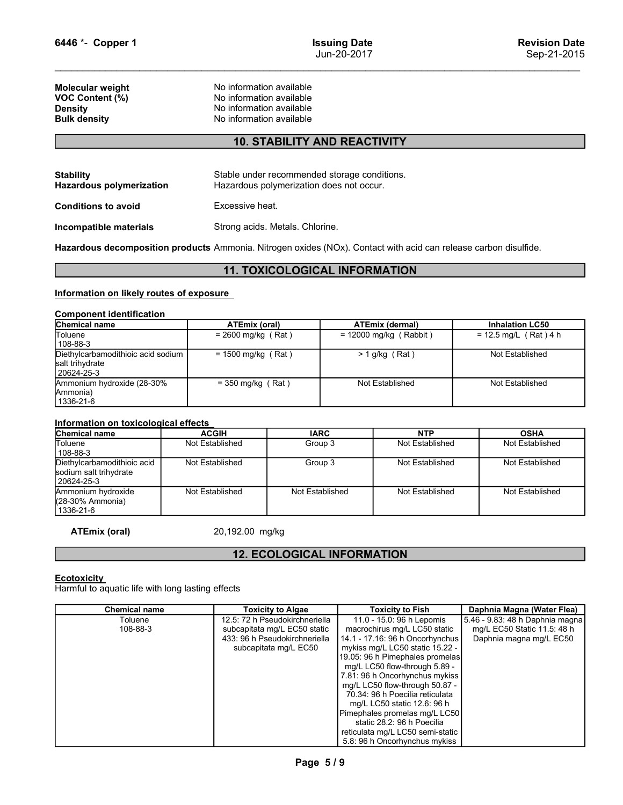Example 1<br>
Un-20-2017<br>
Un-20-2017<br>
No information available<br>
No information available<br>
No information available<br>
No information available<br>
No information available<br>
No information available<br>
No information available G446 \*- Copper 1<br>
Molecular weight No information available<br>
Molecular weight No information available<br>
VOC Content (%) No information available<br>
No information available<br>
Bulk density No information available<br>
No informat G446 \*- Copper 1<br>
VOC Content (%)<br>
We content (%)<br>
We content (%)<br>
No information available<br>
No information available<br>
Density<br>
No information available<br>
Bulk density<br>
No information available<br>
10. STABILITY AND REACTIVITY G446 \*- Copper 1<br>
Bun-20-2017<br>
Molecular weight<br>
Molecular weight<br>
No information available<br>
Density<br>
Density<br>
No information available<br>
Density<br>
No information available<br>
Density<br>
No information available<br>
No information

### 10. STABILITY AND REACTIVITY

| 6446 *- Copper 1                                                                                                 |                                                      | <b>Issuing Date</b>                                | <b>Revision Date</b>                              |  |
|------------------------------------------------------------------------------------------------------------------|------------------------------------------------------|----------------------------------------------------|---------------------------------------------------|--|
|                                                                                                                  |                                                      | Jun-20-2017                                        |                                                   |  |
|                                                                                                                  |                                                      |                                                    |                                                   |  |
| Molecular weight                                                                                                 | No information available                             |                                                    |                                                   |  |
| VOC Content (%)                                                                                                  | No information available                             |                                                    |                                                   |  |
| <b>Density</b><br><b>Bulk density</b>                                                                            | No information available<br>No information available |                                                    |                                                   |  |
|                                                                                                                  |                                                      |                                                    |                                                   |  |
|                                                                                                                  |                                                      | <b>10. STABILITY AND REACTIVITY</b>                |                                                   |  |
|                                                                                                                  |                                                      |                                                    |                                                   |  |
| <b>Stability</b>                                                                                                 | Stable under recommended storage conditions.         |                                                    |                                                   |  |
| <b>Hazardous polymerization</b>                                                                                  | Hazardous polymerization does not occur.             |                                                    |                                                   |  |
| <b>Conditions to avoid</b>                                                                                       | Excessive heat.                                      |                                                    |                                                   |  |
| Incompatible materials                                                                                           | Strong acids. Metals. Chlorine.                      |                                                    |                                                   |  |
| Hazardous decomposition products Ammonia. Nitrogen oxides (NOx). Contact with acid can release carbon disulfide. |                                                      |                                                    |                                                   |  |
|                                                                                                                  |                                                      |                                                    |                                                   |  |
|                                                                                                                  |                                                      | <b>11. TOXICOLOGICAL INFORMATION</b>               |                                                   |  |
| Information on likely routes of exposure                                                                         |                                                      |                                                    |                                                   |  |
|                                                                                                                  |                                                      |                                                    |                                                   |  |
| <b>Component identification</b><br>Chemical name                                                                 |                                                      |                                                    |                                                   |  |
| Toluene                                                                                                          | <b>ATEmix (oral)</b><br>$= 2600$ mg/kg (Rat)         | <b>ATEmix (dermal)</b><br>$= 12000$ mg/kg (Rabbit) | <b>Inhalation LC50</b><br>$= 12.5$ mg/L (Rat) 4 h |  |
| 108-88-3                                                                                                         |                                                      |                                                    |                                                   |  |
| Diethylcarbamodithioic acid sodium                                                                               | $= 1500$ mg/kg (Rat)                                 | $> 1$ g/kg (Rat)                                   | Not Established                                   |  |

### 11. TOXICOLOGICAL INFORMATION

|                                                                                                                  |                                                                                                              | Jun-20-2017                                                                              | Sep-21-2015            |                         |  |  |  |  |
|------------------------------------------------------------------------------------------------------------------|--------------------------------------------------------------------------------------------------------------|------------------------------------------------------------------------------------------|------------------------|-------------------------|--|--|--|--|
| Molecular weight<br>VOC Content (%)<br><b>Density</b><br><b>Bulk density</b>                                     | No information available<br>No information available<br>No information available<br>No information available |                                                                                          |                        |                         |  |  |  |  |
|                                                                                                                  |                                                                                                              | <b>10. STABILITY AND REACTIVITY</b>                                                      |                        |                         |  |  |  |  |
| <b>Stability</b><br><b>Hazardous polymerization</b>                                                              |                                                                                                              | Stable under recommended storage conditions.<br>Hazardous polymerization does not occur. |                        |                         |  |  |  |  |
| <b>Conditions to avoid</b>                                                                                       |                                                                                                              | Excessive heat.                                                                          |                        |                         |  |  |  |  |
| Incompatible materials                                                                                           |                                                                                                              | Strong acids. Metals. Chlorine.                                                          |                        |                         |  |  |  |  |
| Hazardous decomposition products Ammonia. Nitrogen oxides (NOx). Contact with acid can release carbon disulfide. |                                                                                                              |                                                                                          |                        |                         |  |  |  |  |
|                                                                                                                  |                                                                                                              | <b>11. TOXICOLOGICAL INFORMATION</b>                                                     |                        |                         |  |  |  |  |
| Information on likely routes of exposure<br><b>Component identification</b>                                      |                                                                                                              |                                                                                          |                        |                         |  |  |  |  |
| Chemical name                                                                                                    | <b>ATEmix (oral)</b>                                                                                         |                                                                                          | <b>ATEmix (dermal)</b> | <b>Inhalation LC50</b>  |  |  |  |  |
| Toluene<br>108-88-3                                                                                              |                                                                                                              | $= 2600$ mg/kg (Rat)<br>$= 12000$ mg/kg (Rabbit)                                         |                        | $= 12.5$ mg/L (Rat) 4 h |  |  |  |  |
| Diethylcarbamodithioic acid sodium<br>salt trihydrate<br>20624-25-3                                              | $= 1500$ mg/kg (Rat)                                                                                         | $> 1$ g/kg (Rat)                                                                         |                        | Not Established         |  |  |  |  |
| Ammonium hydroxide (28-30%<br>Ammonia)<br>1336-21-6                                                              | $=$ 350 mg/kg (Rat)                                                                                          |                                                                                          | Not Established        | Not Established         |  |  |  |  |
| Information on toxicological effects                                                                             |                                                                                                              |                                                                                          |                        |                         |  |  |  |  |
| Chemical name                                                                                                    | <b>ACGIH</b>                                                                                                 | <b>IARC</b>                                                                              | <b>NTP</b>             | <b>OSHA</b>             |  |  |  |  |
| Toluene<br>108-88-3                                                                                              | Not Established                                                                                              | Group 3                                                                                  | Not Established        | Not Established         |  |  |  |  |
| Diethylcarbamodithioic acid<br>sodium salt trihydrate<br>20624-25-3                                              | Not Established                                                                                              | Group 3                                                                                  | Not Established        | Not Established         |  |  |  |  |
| Ammonium hydroxide<br>(28-30% Ammonia)                                                                           | Not Established                                                                                              | Not Established                                                                          | Not Established        | Not Established         |  |  |  |  |

| <b>Conditions to avoid</b>                                                                                                                                                                          |  | Excessive heat.                                                                                                                                                                                                                                                              |                                      |                                                                                           |                          |                            |  |
|-----------------------------------------------------------------------------------------------------------------------------------------------------------------------------------------------------|--|------------------------------------------------------------------------------------------------------------------------------------------------------------------------------------------------------------------------------------------------------------------------------|--------------------------------------|-------------------------------------------------------------------------------------------|--------------------------|----------------------------|--|
| Incompatible materials                                                                                                                                                                              |  | Strong acids. Metals. Chlorine.                                                                                                                                                                                                                                              |                                      |                                                                                           |                          |                            |  |
| Hazardous decomposition products Ammonia. Nitrogen oxides (NOx). Contact with acid can release carbon disulfide.                                                                                    |  |                                                                                                                                                                                                                                                                              |                                      |                                                                                           |                          |                            |  |
|                                                                                                                                                                                                     |  |                                                                                                                                                                                                                                                                              | <b>11. TOXICOLOGICAL INFORMATION</b> |                                                                                           |                          |                            |  |
| Information on likely routes of exposure                                                                                                                                                            |  |                                                                                                                                                                                                                                                                              |                                      |                                                                                           |                          |                            |  |
| <b>Component identification</b>                                                                                                                                                                     |  |                                                                                                                                                                                                                                                                              |                                      |                                                                                           |                          |                            |  |
| Chemical name                                                                                                                                                                                       |  | <b>ATEmix (oral)</b>                                                                                                                                                                                                                                                         |                                      |                                                                                           | <b>ATEmix (dermal)</b>   | <b>Inhalation LC50</b>     |  |
| Toluene<br>108-88-3                                                                                                                                                                                 |  | $= 2600$ mg/kg (Rat)                                                                                                                                                                                                                                                         |                                      |                                                                                           | $= 12000$ mg/kg (Rabbit) | $= 12.5$ mg/L (Rat) 4 h    |  |
| Diethylcarbamodithioic acid sodium<br>salt trihydrate<br>20624-25-3                                                                                                                                 |  | $= 1500$ mg/kg (Rat)                                                                                                                                                                                                                                                         |                                      | $> 1$ g/kg (Rat)                                                                          |                          | Not Established            |  |
| Ammonium hydroxide (28-30%<br>Ammonia)<br>1336-21-6                                                                                                                                                 |  | $=$ 350 mg/kg (Rat)                                                                                                                                                                                                                                                          |                                      | Not Established                                                                           |                          | Not Established            |  |
| Information on toxicological effects                                                                                                                                                                |  |                                                                                                                                                                                                                                                                              |                                      |                                                                                           |                          |                            |  |
| <b>Chemical name</b>                                                                                                                                                                                |  | <b>ACGIH</b>                                                                                                                                                                                                                                                                 | <b>IARC</b>                          |                                                                                           | <b>NTP</b>               | <b>OSHA</b>                |  |
| Toluene<br>108-88-3                                                                                                                                                                                 |  | Not Established                                                                                                                                                                                                                                                              | Group 3                              |                                                                                           | Not Established          | Not Established            |  |
| Diethylcarbamodithioic acid<br>sodium salt trihydrate<br>20624-25-3                                                                                                                                 |  | Not Established                                                                                                                                                                                                                                                              | Group 3                              |                                                                                           | Not Established          | Not Established            |  |
| Ammonium hydroxide<br>(28-30% Ammonia)<br>1336-21-6                                                                                                                                                 |  | Not Established<br>Not Established                                                                                                                                                                                                                                           |                                      |                                                                                           | Not Established          | Not Established            |  |
| <b>ATEmix (oral)</b>                                                                                                                                                                                |  | 20,192.00 mg/kg                                                                                                                                                                                                                                                              |                                      |                                                                                           |                          |                            |  |
|                                                                                                                                                                                                     |  |                                                                                                                                                                                                                                                                              | <b>12. ECOLOGICAL INFORMATION</b>    |                                                                                           |                          |                            |  |
| <b>Ecotoxicity</b><br>Harmful to aquatic life with long lasting effects                                                                                                                             |  |                                                                                                                                                                                                                                                                              |                                      |                                                                                           |                          |                            |  |
|                                                                                                                                                                                                     |  |                                                                                                                                                                                                                                                                              |                                      |                                                                                           |                          | Daphnia Magna (Water Flea) |  |
| <b>Chemical name</b><br><b>Toxicity to Algae</b><br>12.5: 72 h Pseudokirchneriella<br>Toluene<br>108-88-3<br>subcapitata mg/L EC50 static<br>433: 96 h Pseudokirchneriella<br>subcapitata mg/L EC50 |  | <b>Toxicity to Fish</b><br>11.0 - 15.0: 96 h Lepomis<br>macrochirus mg/L LC50 static<br>14.1 - 17.16: 96 h Oncorhynchus<br>mykiss mg/L LC50 static 15.22 -<br>19.05: 96 h Pimephales promelas<br>mg/L LC50 flow-through 5.89 -<br>$7.04.00 \text{ k}$ Openshup thus multiple |                                      | 5.46 - 9.83: 48 h Daphnia magna<br>mg/L EC50 Static 11.5: 48 h<br>Daphnia magna mg/L EC50 |                          |                            |  |

### 12. ECOLOGICAL INFORMATION

| (28-30% Ammonia)<br>1336-21-6                                           |                                                                                                                          |                                                                                                                                                                                                                                                                                                                                                                                                                                                                               |                                                                                           |
|-------------------------------------------------------------------------|--------------------------------------------------------------------------------------------------------------------------|-------------------------------------------------------------------------------------------------------------------------------------------------------------------------------------------------------------------------------------------------------------------------------------------------------------------------------------------------------------------------------------------------------------------------------------------------------------------------------|-------------------------------------------------------------------------------------------|
| <b>ATEmix (oral)</b>                                                    | 20,192.00 mg/kg                                                                                                          |                                                                                                                                                                                                                                                                                                                                                                                                                                                                               |                                                                                           |
|                                                                         |                                                                                                                          | <b>12. ECOLOGICAL INFORMATION</b>                                                                                                                                                                                                                                                                                                                                                                                                                                             |                                                                                           |
| <b>Ecotoxicity</b><br>Harmful to aquatic life with long lasting effects |                                                                                                                          |                                                                                                                                                                                                                                                                                                                                                                                                                                                                               |                                                                                           |
| <b>Chemical name</b>                                                    | <b>Toxicity to Algae</b>                                                                                                 | <b>Toxicity to Fish</b>                                                                                                                                                                                                                                                                                                                                                                                                                                                       | Daphnia Magna (Water Flea)                                                                |
| Toluene<br>108-88-3                                                     | 12.5: 72 h Pseudokirchneriella<br>subcapitata mg/L EC50 static<br>433: 96 h Pseudokirchneriella<br>subcapitata mg/L EC50 | 11.0 - 15.0: 96 h Lepomis<br>macrochirus mg/L LC50 static<br>14.1 - 17.16: 96 h Oncorhynchus<br>mykiss mg/L LC50 static 15.22 -<br>19.05: 96 h Pimephales promelas<br>mg/L LC50 flow-through 5.89 -<br>7.81: 96 h Oncorhynchus mykiss<br>mg/L LC50 flow-through 50.87 -<br>70.34: 96 h Poecilia reticulata<br>mg/L LC50 static 12.6: 96 h<br>Pimephales promelas mg/L LC50<br>static 28.2: 96 h Poecilia<br>reticulata mg/L LC50 semi-static<br>5.8: 96 h Oncorhynchus mykiss | 5.46 - 9.83: 48 h Daphnia magna<br>mg/L EC50 Static 11.5: 48 h<br>Daphnia magna mg/L EC50 |
|                                                                         | Page 5/9                                                                                                                 |                                                                                                                                                                                                                                                                                                                                                                                                                                                                               |                                                                                           |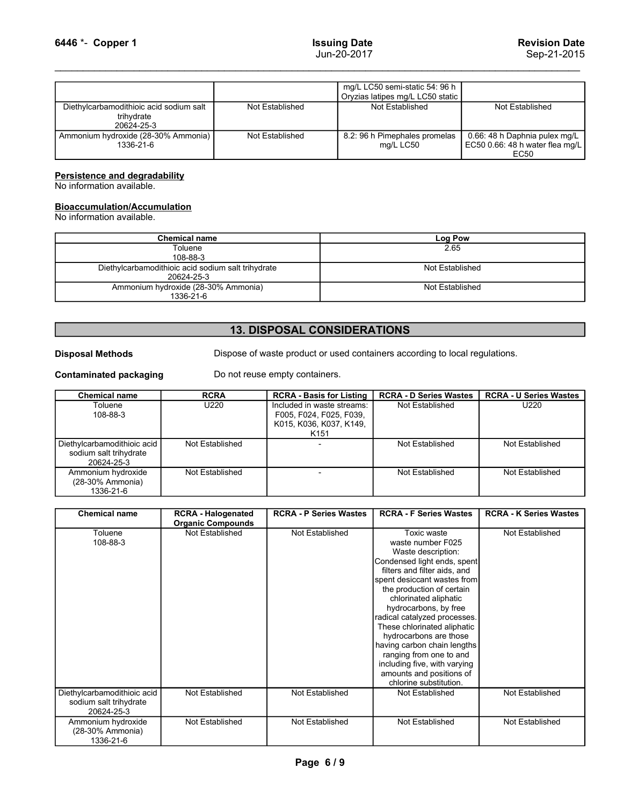|                                                                                                                     |                 | <b>Issuing Date</b>                                 | <b>Revision Date</b>                                                            |
|---------------------------------------------------------------------------------------------------------------------|-----------------|-----------------------------------------------------|---------------------------------------------------------------------------------|
|                                                                                                                     |                 | Jun-20-2017                                         | Sep-21-2015                                                                     |
|                                                                                                                     |                 | mg/L LC50 semi-static 54: 96 h                      |                                                                                 |
| Diethylcarbamodithioic acid sodium salt<br>trihydrate                                                               | Not Established | Oryzias latipes mg/L LC50 static<br>Not Established | Not Established                                                                 |
| 6446 *- Copper 1<br>20624-25-3<br>Ammonium hydroxide (28-30% Ammonia)<br>1336-21-6                                  | Not Established | 8.2: 96 h Pimephales promelas<br>mg/L LC50          | 0.66: 48 h Daphnia pulex mg/L<br>EC50 0.66: 48 h water flea mg/L<br><b>EC50</b> |
| <b>Persistence and degradability</b><br>No information available.                                                   |                 |                                                     |                                                                                 |
| <b>Bioaccumulation/Accumulation</b><br>No information available.                                                    |                 |                                                     |                                                                                 |
| <b>Chemical name</b>                                                                                                |                 |                                                     |                                                                                 |
| Toluene                                                                                                             |                 | Log Pow<br>2.65                                     |                                                                                 |
| 108-88-3<br>Diethylcarbamodithioic acid sodium salt trihydrate<br>20624-25-3<br>Ammonium hydroxide (28-30% Ammonia) |                 | Not Established<br>Not Established                  |                                                                                 |

# **Bioaccumulation/Accumulation**<br>No information available.

|                                                                     |                                                                  |                                                                                                      | $\frac{1}{1}$ $\frac{1}{1}$ $\frac{1}{1}$ $\frac{1}{1}$ $\frac{1}{1}$ $\frac{1}{1}$ $\frac{1}{1}$ $\frac{1}{1}$ $\frac{1}{1}$ $\frac{1}{1}$ $\frac{1}{1}$ $\frac{1}{1}$ $\frac{1}{1}$<br>Oryzias latipes mg/L LC50 static |                                                                          |
|---------------------------------------------------------------------|------------------------------------------------------------------|------------------------------------------------------------------------------------------------------|---------------------------------------------------------------------------------------------------------------------------------------------------------------------------------------------------------------------------|--------------------------------------------------------------------------|
| Diethylcarbamodithioic acid sodium salt<br>trihydrate<br>20624-25-3 |                                                                  | Not Established                                                                                      | Not Established                                                                                                                                                                                                           | Not Established                                                          |
| Ammonium hydroxide (28-30% Ammonia)<br>1336-21-6                    |                                                                  | Not Established                                                                                      | 8.2: 96 h Pimephales promelas<br>mg/L LC50                                                                                                                                                                                | 0.66: 48 h Daphnia pulex mg/L<br>EC50 0.66: 48 h water flea mg/L<br>EC50 |
| Persistence and degradability<br>No information available.          |                                                                  |                                                                                                      |                                                                                                                                                                                                                           |                                                                          |
| <b>Bioaccumulation/Accumulation</b><br>No information available.    |                                                                  |                                                                                                      |                                                                                                                                                                                                                           |                                                                          |
|                                                                     | <b>Chemical name</b>                                             |                                                                                                      | <b>Log Pow</b>                                                                                                                                                                                                            |                                                                          |
|                                                                     | Toluene<br>108-88-3                                              |                                                                                                      | 2.65                                                                                                                                                                                                                      |                                                                          |
|                                                                     | Diethylcarbamodithioic acid sodium salt trihydrate<br>20624-25-3 |                                                                                                      | Not Established                                                                                                                                                                                                           |                                                                          |
|                                                                     | Ammonium hydroxide (28-30% Ammonia)<br>1336-21-6                 |                                                                                                      | Not Established                                                                                                                                                                                                           |                                                                          |
|                                                                     |                                                                  | <b>13. DISPOSAL CONSIDERATIONS</b>                                                                   |                                                                                                                                                                                                                           |                                                                          |
| <b>Disposal Methods</b>                                             |                                                                  | Dispose of waste product or used containers according to local regulations.                          |                                                                                                                                                                                                                           |                                                                          |
| <b>Contaminated packaging</b>                                       |                                                                  | Do not reuse empty containers.                                                                       |                                                                                                                                                                                                                           |                                                                          |
| <b>Chemical name</b>                                                | <b>RCRA</b>                                                      | <b>RCRA - Basis for Listing</b>                                                                      | <b>RCRA - D Series Wastes</b>                                                                                                                                                                                             | <b>RCRA - U Series Wastes</b>                                            |
| Toluene<br>108-88-3                                                 | U220                                                             | Included in waste streams:<br>F005, F024, F025, F039,<br>K015, K036, K037, K149,<br>K <sub>151</sub> | Not Established                                                                                                                                                                                                           | U220                                                                     |
|                                                                     |                                                                  |                                                                                                      |                                                                                                                                                                                                                           |                                                                          |

## 13. DISPOSAL CONSIDERATIONS

| Ammonium hydroxide (28-30% Ammonia)<br>1336-21-6                    |                                                                | Not Established                                                                                      | 8.2: 96 h Pimephales promelas<br>mg/L LC50                                                                        | 0.66: 48 h Daphnia pulex mg/L<br>EC50 0.66: 48 h water flea mg/L |
|---------------------------------------------------------------------|----------------------------------------------------------------|------------------------------------------------------------------------------------------------------|-------------------------------------------------------------------------------------------------------------------|------------------------------------------------------------------|
|                                                                     |                                                                |                                                                                                      |                                                                                                                   | <b>EC50</b>                                                      |
| Persistence and degradability<br>No information available.          |                                                                |                                                                                                      |                                                                                                                   |                                                                  |
| <b>Bioaccumulation/Accumulation</b>                                 |                                                                |                                                                                                      |                                                                                                                   |                                                                  |
| No information available.                                           |                                                                |                                                                                                      |                                                                                                                   |                                                                  |
|                                                                     | <b>Chemical name</b>                                           |                                                                                                      | <b>Log Pow</b>                                                                                                    |                                                                  |
|                                                                     | Toluene                                                        |                                                                                                      | 2.65                                                                                                              |                                                                  |
|                                                                     | 108-88-3<br>Diethylcarbamodithioic acid sodium salt trihydrate |                                                                                                      | Not Established                                                                                                   |                                                                  |
|                                                                     | 20624-25-3                                                     |                                                                                                      |                                                                                                                   |                                                                  |
|                                                                     | Ammonium hydroxide (28-30% Ammonia)<br>1336-21-6               |                                                                                                      | Not Established                                                                                                   |                                                                  |
|                                                                     |                                                                |                                                                                                      |                                                                                                                   |                                                                  |
|                                                                     |                                                                |                                                                                                      |                                                                                                                   |                                                                  |
|                                                                     |                                                                | <b>13. DISPOSAL CONSIDERATIONS</b>                                                                   |                                                                                                                   |                                                                  |
| <b>Disposal Methods</b>                                             |                                                                | Dispose of waste product or used containers according to local regulations.                          |                                                                                                                   |                                                                  |
|                                                                     |                                                                |                                                                                                      |                                                                                                                   |                                                                  |
| <b>Contaminated packaging</b>                                       |                                                                | Do not reuse empty containers.                                                                       |                                                                                                                   |                                                                  |
| <b>Chemical name</b>                                                | <b>RCRA</b>                                                    | <b>RCRA - Basis for Listing</b>                                                                      | <b>RCRA - D Series Wastes</b>                                                                                     | <b>RCRA - U Series Wastes</b>                                    |
| Toluene<br>108-88-3                                                 | U220                                                           | Included in waste streams:<br>F005, F024, F025, F039,<br>K015, K036, K037, K149,<br>K <sub>151</sub> | Not Established                                                                                                   | U220                                                             |
| Diethylcarbamodithioic acid<br>sodium salt trihydrate<br>20624-25-3 | Not Established                                                |                                                                                                      | Not Established                                                                                                   | Not Established                                                  |
| Ammonium hydroxide<br>(28-30% Ammonia)<br>1336-21-6                 | Not Established                                                | $\overline{\phantom{a}}$                                                                             | Not Established                                                                                                   | Not Established                                                  |
|                                                                     |                                                                |                                                                                                      |                                                                                                                   |                                                                  |
| <b>Chemical name</b>                                                | <b>RCRA - Halogenated</b><br><b>Organic Compounds</b>          | <b>RCRA - P Series Wastes</b>                                                                        | <b>RCRA - F Series Wastes</b>                                                                                     | <b>RCRA - K Series Wastes</b>                                    |
| Toluene<br>108-88-3                                                 | Not Established                                                | Not Established                                                                                      | Toxic waste<br>waste number F025<br>Waste description:<br>Condensed light ends, spent                             | Not Established                                                  |
|                                                                     |                                                                |                                                                                                      | filters and filter aids, and<br>spent desiccant wastes from<br>the production of certain<br>oblorinated alinhatic |                                                                  |

|                                                                     |                                                       | K151                          |                                                                                                                                                                                                                                                                                                                                                                                                                                                                              |                               |
|---------------------------------------------------------------------|-------------------------------------------------------|-------------------------------|------------------------------------------------------------------------------------------------------------------------------------------------------------------------------------------------------------------------------------------------------------------------------------------------------------------------------------------------------------------------------------------------------------------------------------------------------------------------------|-------------------------------|
| Diethylcarbamodithioic acid<br>sodium salt trihydrate<br>20624-25-3 | Not Established                                       |                               | Not Established                                                                                                                                                                                                                                                                                                                                                                                                                                                              | Not Established               |
| Ammonium hydroxide<br>(28-30% Ammonia)<br>1336-21-6                 | Not Established                                       | $\overline{\phantom{a}}$      | Not Established                                                                                                                                                                                                                                                                                                                                                                                                                                                              | Not Established               |
|                                                                     |                                                       |                               |                                                                                                                                                                                                                                                                                                                                                                                                                                                                              |                               |
| <b>Chemical name</b>                                                | <b>RCRA - Halogenated</b><br><b>Organic Compounds</b> | <b>RCRA - P Series Wastes</b> | <b>RCRA - F Series Wastes</b>                                                                                                                                                                                                                                                                                                                                                                                                                                                | <b>RCRA - K Series Wastes</b> |
| Toluene<br>108-88-3                                                 | Not Established                                       | Not Established               | Toxic waste<br>waste number F025<br>Waste description:<br>Condensed light ends, spent<br>filters and filter aids, and<br>spent desiccant wastes from<br>the production of certain<br>chlorinated aliphatic<br>hydrocarbons, by free<br>radical catalyzed processes.<br>These chlorinated aliphatic<br>hydrocarbons are those<br>having carbon chain lengths<br>ranging from one to and<br>including five, with varying<br>amounts and positions of<br>chlorine substitution. | Not Established               |
| Diethylcarbamodithioic acid<br>sodium salt trihydrate<br>20624-25-3 | Not Established                                       | Not Established               | Not Established                                                                                                                                                                                                                                                                                                                                                                                                                                                              | Not Established               |
| Ammonium hydroxide<br>(28-30% Ammonia)<br>1336-21-6                 | Not Established                                       | Not Established               | Not Established                                                                                                                                                                                                                                                                                                                                                                                                                                                              | Not Established               |
|                                                                     |                                                       | Page 6/9                      |                                                                                                                                                                                                                                                                                                                                                                                                                                                                              |                               |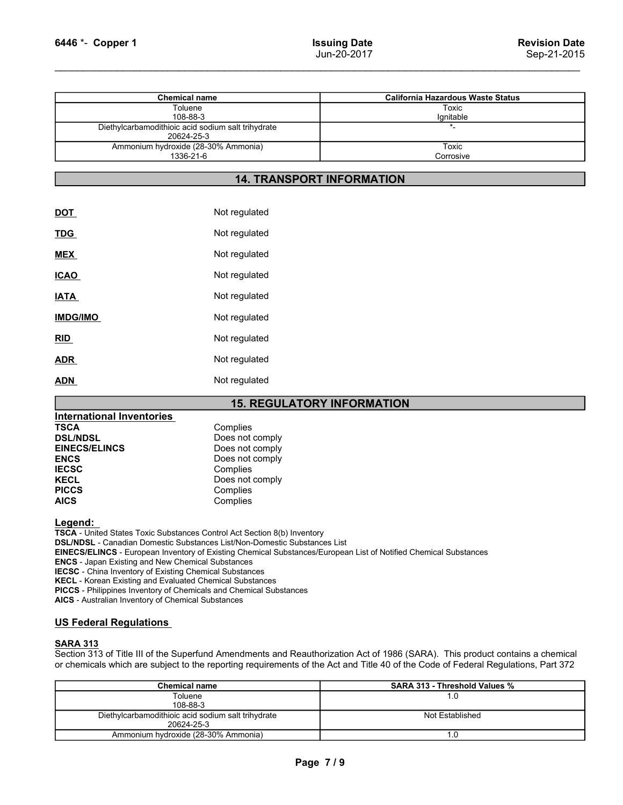| 6446 *- Copper 1                                                 | <b>Issuing Date</b><br>Jun-20-2017 | <b>Revision Date</b><br>Sep-21-2015      |
|------------------------------------------------------------------|------------------------------------|------------------------------------------|
|                                                                  |                                    |                                          |
| <b>Chemical name</b>                                             |                                    | <b>California Hazardous Waste Status</b> |
| Toluene<br>108-88-3                                              |                                    | <b>Toxic</b><br>Ignitable                |
| Diethylcarbamodithioic acid sodium salt trihydrate<br>20624-25-3 |                                    | $\star$                                  |
| Ammonium hydroxide (28-30% Ammonia)                              |                                    |                                          |
| 1336-21-6                                                        |                                    | <b>Toxic</b><br>Corrosive                |

### 14. TRANSPORT INFORMATION

|                                  | 1336-21-6                                                                        | Corrosive |
|----------------------------------|----------------------------------------------------------------------------------|-----------|
|                                  | <b>14. TRANSPORT INFORMATION</b>                                                 |           |
|                                  |                                                                                  |           |
| <b>DOT</b>                       | Not regulated                                                                    |           |
| <u>TDG</u>                       | Not regulated                                                                    |           |
| <b>MEX</b>                       | Not regulated                                                                    |           |
| <b>ICAO</b>                      | Not regulated                                                                    |           |
| <b>IATA</b>                      | Not regulated                                                                    |           |
| <b>IMDG/IMO</b>                  | Not regulated                                                                    |           |
| RID                              | Not regulated                                                                    |           |
| <u>ADR</u>                       | Not regulated                                                                    |           |
| <b>ADN</b>                       | Not regulated                                                                    |           |
|                                  | <b>15. REGULATORY INFORMATION</b>                                                |           |
| <b>International Inventories</b> |                                                                                  |           |
| <b>TSCA</b>                      | Complies                                                                         |           |
| <b>DSL/NDSL</b>                  | Does not comply                                                                  |           |
| <b>EINECS/ELINCS</b>             | Does not comply                                                                  |           |
| <b>ENCS</b>                      | Does not comply                                                                  |           |
| <b>IECSC</b>                     | Complies                                                                         |           |
| <b>KECL</b><br><b>PICCS</b>      | Does not comply                                                                  |           |
| <b>AICS</b>                      | Complies<br>Complies                                                             |           |
|                                  |                                                                                  |           |
| Legend:                          | TSCA - United States Toxic Substances Control Act Section 8(b) Inventory         |           |
|                                  | <b>DSL/NDSL</b> - Canadian Domestic Substances List/Non-Domestic Substances List |           |

### 15. REGULATORY INFORMATION

| <u>ADR_</u>                                                                                                                                                                                                                                                                                                                                                                                                                                                                                                                                                                                                                        | Not regulated   |                                   |
|------------------------------------------------------------------------------------------------------------------------------------------------------------------------------------------------------------------------------------------------------------------------------------------------------------------------------------------------------------------------------------------------------------------------------------------------------------------------------------------------------------------------------------------------------------------------------------------------------------------------------------|-----------------|-----------------------------------|
| ADN                                                                                                                                                                                                                                                                                                                                                                                                                                                                                                                                                                                                                                | Not regulated   |                                   |
|                                                                                                                                                                                                                                                                                                                                                                                                                                                                                                                                                                                                                                    |                 | <b>15. REGULATORY INFORMATION</b> |
| <b>International Inventories</b>                                                                                                                                                                                                                                                                                                                                                                                                                                                                                                                                                                                                   |                 |                                   |
| <b>TSCA</b>                                                                                                                                                                                                                                                                                                                                                                                                                                                                                                                                                                                                                        | Complies        |                                   |
| <b>DSL/NDSL</b>                                                                                                                                                                                                                                                                                                                                                                                                                                                                                                                                                                                                                    | Does not comply |                                   |
| <b>EINECS/ELINCS</b>                                                                                                                                                                                                                                                                                                                                                                                                                                                                                                                                                                                                               | Does not comply |                                   |
| <b>ENCS</b>                                                                                                                                                                                                                                                                                                                                                                                                                                                                                                                                                                                                                        | Does not comply |                                   |
| <b>IECSC</b>                                                                                                                                                                                                                                                                                                                                                                                                                                                                                                                                                                                                                       | Complies        |                                   |
| <b>KECL</b>                                                                                                                                                                                                                                                                                                                                                                                                                                                                                                                                                                                                                        | Does not comply |                                   |
| <b>PICCS</b>                                                                                                                                                                                                                                                                                                                                                                                                                                                                                                                                                                                                                       | Complies        |                                   |
| <b>AICS</b>                                                                                                                                                                                                                                                                                                                                                                                                                                                                                                                                                                                                                        | Complies        |                                   |
| Legend:<br><b>TSCA</b> - United States Toxic Substances Control Act Section 8(b) Inventory<br><b>DSL/NDSL - Canadian Domestic Substances List/Non-Domestic Substances List</b><br>EINECS/ELINCS - European Inventory of Existing Chemical Substances/European List of Notified Chemical<br><b>ENCS</b> - Japan Existing and New Chemical Substances<br><b>IECSC</b> - China Inventory of Existing Chemical Substances<br><b>KECL</b> - Korean Existing and Evaluated Chemical Substances<br><b>PICCS</b> - Philippines Inventory of Chemicals and Chemical Substances<br><b>AICS</b> - Australian Inventory of Chemical Substances |                 |                                   |
| <b>US Federal Regulations</b>                                                                                                                                                                                                                                                                                                                                                                                                                                                                                                                                                                                                      |                 |                                   |
| <b>SARA 313</b><br>Section 313 of Title III of the Superfund Amendments and Reauthorization Act of 1986 (SARA).<br>or chemicals which are subject to the reporting requirements of the Act and Title 40 of the Code                                                                                                                                                                                                                                                                                                                                                                                                                |                 |                                   |
| <b>Chemical name</b>                                                                                                                                                                                                                                                                                                                                                                                                                                                                                                                                                                                                               |                 | <b>SARA 313 - TI</b>              |

|                                                                                                                                                                                                                                                                                                                    | <b>15. REGULATORY INFORMATION</b>                                                                                                                                                                                                                                                                                                                      |                                                                                                                                                                                                                                                                    |
|--------------------------------------------------------------------------------------------------------------------------------------------------------------------------------------------------------------------------------------------------------------------------------------------------------------------|--------------------------------------------------------------------------------------------------------------------------------------------------------------------------------------------------------------------------------------------------------------------------------------------------------------------------------------------------------|--------------------------------------------------------------------------------------------------------------------------------------------------------------------------------------------------------------------------------------------------------------------|
| <b>International Inventories</b>                                                                                                                                                                                                                                                                                   |                                                                                                                                                                                                                                                                                                                                                        |                                                                                                                                                                                                                                                                    |
| <b>TSCA</b>                                                                                                                                                                                                                                                                                                        | Complies                                                                                                                                                                                                                                                                                                                                               |                                                                                                                                                                                                                                                                    |
| <b>DSL/NDSL</b>                                                                                                                                                                                                                                                                                                    | Does not comply                                                                                                                                                                                                                                                                                                                                        |                                                                                                                                                                                                                                                                    |
| <b>EINECS/ELINCS</b>                                                                                                                                                                                                                                                                                               | Does not comply                                                                                                                                                                                                                                                                                                                                        |                                                                                                                                                                                                                                                                    |
| <b>ENCS</b>                                                                                                                                                                                                                                                                                                        | Does not comply                                                                                                                                                                                                                                                                                                                                        |                                                                                                                                                                                                                                                                    |
| <b>IECSC</b>                                                                                                                                                                                                                                                                                                       | Complies                                                                                                                                                                                                                                                                                                                                               |                                                                                                                                                                                                                                                                    |
| <b>KECL</b>                                                                                                                                                                                                                                                                                                        | Does not comply                                                                                                                                                                                                                                                                                                                                        |                                                                                                                                                                                                                                                                    |
| <b>PICCS</b>                                                                                                                                                                                                                                                                                                       | Complies                                                                                                                                                                                                                                                                                                                                               |                                                                                                                                                                                                                                                                    |
| <b>AICS</b>                                                                                                                                                                                                                                                                                                        | Complies                                                                                                                                                                                                                                                                                                                                               |                                                                                                                                                                                                                                                                    |
| Legend:<br><b>ENCS</b> - Japan Existing and New Chemical Substances<br><b>IECSC</b> - China Inventory of Existing Chemical Substances<br><b>KECL</b> - Korean Existing and Evaluated Chemical Substances<br>AICS - Australian Inventory of Chemical Substances<br><b>US Federal Regulations</b><br><b>SARA 313</b> | TSCA - United States Toxic Substances Control Act Section 8(b) Inventory<br><b>DSL/NDSL</b> - Canadian Domestic Substances List/Non-Domestic Substances List<br>EINECS/ELINCS - European Inventory of Existing Chemical Substances/European List of Notified Chemical Substances<br>PICCS - Philippines Inventory of Chemicals and Chemical Substances | Section 313 of Title III of the Superfund Amendments and Reauthorization Act of 1986 (SARA). This product contains a chemical<br>or chemicals which are subject to the reporting requirements of the Act and Title 40 of the Code of Federal Regulations, Part 372 |
|                                                                                                                                                                                                                                                                                                                    |                                                                                                                                                                                                                                                                                                                                                        |                                                                                                                                                                                                                                                                    |
|                                                                                                                                                                                                                                                                                                                    | <b>Chemical name</b><br>Toluene                                                                                                                                                                                                                                                                                                                        | SARA 313 - Threshold Values %<br>1.0                                                                                                                                                                                                                               |
|                                                                                                                                                                                                                                                                                                                    | 108-88-3                                                                                                                                                                                                                                                                                                                                               |                                                                                                                                                                                                                                                                    |
|                                                                                                                                                                                                                                                                                                                    | Diethylcarbamodithioic acid sodium salt trihydrate<br>20624-25-3                                                                                                                                                                                                                                                                                       | Not Established                                                                                                                                                                                                                                                    |
|                                                                                                                                                                                                                                                                                                                    | Ammonium hydroxide (28-30% Ammonia)                                                                                                                                                                                                                                                                                                                    | 1.0                                                                                                                                                                                                                                                                |
|                                                                                                                                                                                                                                                                                                                    | Page 7/9                                                                                                                                                                                                                                                                                                                                               |                                                                                                                                                                                                                                                                    |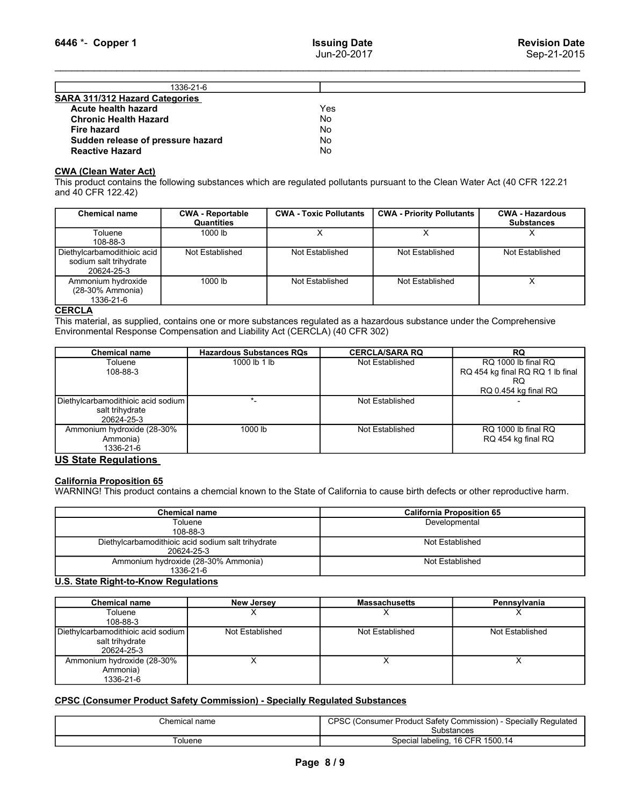| 6446 *- Copper 1                                                                  |                                       | <b>Issuing Date</b><br>Jun-20-2017 |                                                                                                                              | <b>Revision Date</b><br>Sep-21-2015         |
|-----------------------------------------------------------------------------------|---------------------------------------|------------------------------------|------------------------------------------------------------------------------------------------------------------------------|---------------------------------------------|
|                                                                                   |                                       |                                    |                                                                                                                              |                                             |
| SARA 311/312 Hazard Categories                                                    | 1336-21-6                             |                                    |                                                                                                                              |                                             |
| Acute health hazard<br><b>Chronic Health Hazard</b>                               |                                       | Yes<br>No                          |                                                                                                                              |                                             |
| <b>Fire hazard</b><br>Sudden release of pressure hazard<br><b>Reactive Hazard</b> |                                       | No<br>No<br>No                     |                                                                                                                              |                                             |
|                                                                                   |                                       |                                    |                                                                                                                              |                                             |
| <b>CWA (Clean Water Act)</b><br>and 40 CFR 122.42)                                |                                       |                                    | This product contains the following substances which are regulated pollutants pursuant to the Clean Water Act (40 CFR 122.21 |                                             |
| <b>Chemical name</b>                                                              | <b>CWA - Reportable</b><br>Quantities | <b>CWA - Toxic Pollutants</b>      | <b>CWA - Priority Pollutants</b>                                                                                             | <b>CWA - Hazardous</b><br><b>Substances</b> |
| Toluene                                                                           | $1000$ lb                             | $\overline{X}$                     | $\overline{X}$                                                                                                               | X                                           |
| 108-88-3<br>Diethylcarbamodithioic acid<br>sodium salt trihydrate<br>20624-25-3   | Not Established                       | Not Established                    | Not Established                                                                                                              | Not Established                             |

| 6446 *- Copper 1                                                                                                                                                                                                       |                                 | <b>Issuing Date</b>                  |                                  | <b>Revision Date</b>                                                                                                                                   |
|------------------------------------------------------------------------------------------------------------------------------------------------------------------------------------------------------------------------|---------------------------------|--------------------------------------|----------------------------------|--------------------------------------------------------------------------------------------------------------------------------------------------------|
|                                                                                                                                                                                                                        |                                 | Jun-20-2017                          |                                  | Sep-21-2015                                                                                                                                            |
|                                                                                                                                                                                                                        | 1336-21-6                       |                                      |                                  |                                                                                                                                                        |
| SARA 311/312 Hazard Categories<br><b>Acute health hazard</b><br><b>Chronic Health Hazard</b><br><b>Fire hazard</b><br>Sudden release of pressure hazard<br><b>Reactive Hazard</b>                                      |                                 | Yes<br><b>No</b><br>No<br>No.<br>No. |                                  |                                                                                                                                                        |
| <b>CWA (Clean Water Act)</b><br>and 40 CFR 122.42)<br><b>Chemical name</b>                                                                                                                                             | <b>CWA - Reportable</b>         | <b>CWA - Toxic Pollutants</b>        | <b>CWA - Priority Pollutants</b> | This product contains the following substances which are regulated pollutants pursuant to the Clean Water Act (40 CFR 122.21<br><b>CWA - Hazardous</b> |
| Toluene<br>108-88-3                                                                                                                                                                                                    | <b>Quantities</b><br>1000 lb    | X                                    | X                                | <b>Substances</b><br>X                                                                                                                                 |
| Diethylcarbamodithioic acid<br>sodium salt trihydrate<br>20624-25-3                                                                                                                                                    | Not Established                 | Not Established                      | <b>Not Established</b>           | Not Established                                                                                                                                        |
| Ammonium hydroxide<br>(28-30% Ammonia)<br>1336-21-6                                                                                                                                                                    | 1000 lb                         | Not Established                      | Not Established                  | $\times$                                                                                                                                               |
| <b>CERCLA</b><br>This material, as supplied, contains one or more substances regulated as a hazardous substance under the Comprehensive<br>Environmental Response Compensation and Liability Act (CERCLA) (40 CFR 302) |                                 |                                      |                                  |                                                                                                                                                        |
| <b>Chemical name</b>                                                                                                                                                                                                   | <b>Hazardous Substances RQs</b> |                                      | <b>CERCLA/SARA RQ</b>            | <b>RQ</b>                                                                                                                                              |
| Toluene<br>108-88-3                                                                                                                                                                                                    | 1000 lb 1 lb                    |                                      | Not Established                  | RQ 1000 lb final RQ<br>RQ 454 kg final RQ RQ 1 lb final<br><b>RQ</b><br>RQ 0.454 kg final RQ                                                           |
| Diethylcarbamodithioic acid sodium                                                                                                                                                                                     | $\star$                         |                                      | Not Established                  |                                                                                                                                                        |
| salt trihydrate<br>20624-25-3<br>00.001                                                                                                                                                                                | 1000u                           |                                      | . . <del>.</del>                 | <b>001000 F IDO</b>                                                                                                                                    |

| Sudden release of pressure hazard<br><b>Reactive Hazard</b>                                                                                                                                                            |                                                                  | No<br>No                      |                                  |                                                         |  |
|------------------------------------------------------------------------------------------------------------------------------------------------------------------------------------------------------------------------|------------------------------------------------------------------|-------------------------------|----------------------------------|---------------------------------------------------------|--|
| <b>CWA (Clean Water Act)</b><br>This product contains the following substances which are regulated pollutants pursuant to the Clean Water Act (40 CFR 122.21<br>and 40 CFR 122.42)                                     |                                                                  |                               |                                  |                                                         |  |
| <b>Chemical name</b>                                                                                                                                                                                                   | <b>CWA - Reportable</b><br>Quantities                            | <b>CWA - Toxic Pollutants</b> | <b>CWA - Priority Pollutants</b> | <b>CWA - Hazardous</b><br><b>Substances</b>             |  |
| Toluene<br>108-88-3                                                                                                                                                                                                    | 1000 lb                                                          | X                             | X                                | X                                                       |  |
| Diethylcarbamodithioic acid<br>sodium salt trihydrate<br>20624-25-3                                                                                                                                                    | Not Established                                                  | Not Established               | Not Established                  | Not Established                                         |  |
| Ammonium hydroxide<br>(28-30% Ammonia)<br>1336-21-6                                                                                                                                                                    | $1000$ lb                                                        | Not Established               | Not Established                  | X                                                       |  |
| <b>CERCLA</b><br>This material, as supplied, contains one or more substances regulated as a hazardous substance under the Comprehensive<br>Environmental Response Compensation and Liability Act (CERCLA) (40 CFR 302) |                                                                  |                               |                                  |                                                         |  |
| <b>Chemical name</b>                                                                                                                                                                                                   | <b>Hazardous Substances RQs</b>                                  |                               | <b>CERCLA/SARA RQ</b>            | <b>RQ</b>                                               |  |
| Toluene<br>108-88-3                                                                                                                                                                                                    | 1000 lb 1 lb                                                     |                               | Not Established                  | RQ 1000 lb final RQ<br>RQ 454 kg final RQ RQ 1 lb final |  |
|                                                                                                                                                                                                                        |                                                                  |                               |                                  | RQ.<br>RQ 0.454 kg final RQ                             |  |
| Diethylcarbamodithioic acid sodium<br>salt trihydrate<br>20624-25-3                                                                                                                                                    | $\star$                                                          |                               | Not Established                  |                                                         |  |
| Ammonium hydroxide (28-30%<br>Ammonia)<br>1336-21-6                                                                                                                                                                    | 1000 lb                                                          |                               | Not Established                  | RQ 1000 lb final RQ<br>RQ 454 kg final RQ               |  |
| <b>US State Regulations</b><br><b>California Proposition 65</b><br>WARNING! This product contains a chemcial known to the State of California to cause birth defects or other reproductive harm.                       |                                                                  |                               |                                  |                                                         |  |
|                                                                                                                                                                                                                        | <b>Chemical name</b><br>Toluene                                  |                               | <b>California Proposition 65</b> |                                                         |  |
|                                                                                                                                                                                                                        | 108-88-3                                                         |                               | Developmental                    |                                                         |  |
|                                                                                                                                                                                                                        | Diethylcarbamodithioic acid sodium salt trihydrate<br>20624-25-3 |                               | Not Established                  |                                                         |  |
|                                                                                                                                                                                                                        | Ammonium hydroxide (28-30% Ammonia)<br>1336-21-6                 |                               | Not Established                  |                                                         |  |
| <b>U.S. State Right-to-Know Regulations</b>                                                                                                                                                                            |                                                                  |                               |                                  |                                                         |  |
| <b>Chemical name</b>                                                                                                                                                                                                   | <b>New Jersey</b>                                                |                               | <b>Massachusetts</b>             | Pennsylvania                                            |  |
| Toluene<br>108-88-3                                                                                                                                                                                                    | x                                                                |                               | X                                | X                                                       |  |
| Diethylcarbamodithioic acid sodium<br>salt trihydrate<br>20624-25-3                                                                                                                                                    | Not Established                                                  |                               | Not Established                  | Not Established                                         |  |
| Ammonium hydroxide (28-30%                                                                                                                                                                                             | $\times$                                                         |                               | $\times$                         | $\times$                                                |  |

| Chemical name                                      | <b>California Proposition 65</b> |
|----------------------------------------------------|----------------------------------|
| Toluene                                            | Developmental                    |
| 108-88-3                                           |                                  |
| Diethylcarbamodithioic acid sodium salt trihydrate | Not Established                  |
| 20624-25-3                                         |                                  |
| Ammonium hydroxide (28-30% Ammonia)                | Not Established                  |
| 1336-21-6                                          |                                  |

| Diethylcarbamodithioic acid sodium                                                                                            | $\star$ _               | Not Established                                                               |                                           |
|-------------------------------------------------------------------------------------------------------------------------------|-------------------------|-------------------------------------------------------------------------------|-------------------------------------------|
| salt trihydrate<br>20624-25-3                                                                                                 |                         |                                                                               |                                           |
| Ammonium hydroxide (28-30%<br>Ammonia)<br>1336-21-6                                                                           | $1000$ lb               | Not Established                                                               | RQ 1000 lb final RQ<br>RQ 454 kg final RQ |
| <b>US State Regulations</b>                                                                                                   |                         |                                                                               |                                           |
| <b>California Proposition 65</b>                                                                                              |                         |                                                                               |                                           |
| WARNING! This product contains a chemcial known to the State of California to cause birth defects or other reproductive harm. |                         |                                                                               |                                           |
| <b>Chemical name</b>                                                                                                          |                         |                                                                               | <b>California Proposition 65</b>          |
| Toluene                                                                                                                       |                         | Developmental                                                                 |                                           |
| 108-88-3<br>Diethylcarbamodithioic acid sodium salt trihydrate<br>20624-25-3                                                  |                         | Not Established                                                               |                                           |
| Ammonium hydroxide (28-30% Ammonia)<br>1336-21-6                                                                              |                         | Not Established                                                               |                                           |
| <b>U.S. State Right-to-Know Regulations</b>                                                                                   |                         |                                                                               |                                           |
| <b>Chemical name</b>                                                                                                          | <b>New Jersey</b>       | <b>Massachusetts</b>                                                          | Pennsylvania                              |
| Toluene<br>108-88-3                                                                                                           | $\times$                | $\times$                                                                      | $\times$                                  |
| Diethylcarbamodithioic acid sodium<br>salt trihydrate<br>20624-25-3                                                           | Not Established         | Not Established                                                               | Not Established                           |
| Ammonium hydroxide (28-30%<br>Ammonia)<br>1336-21-6                                                                           | $\overline{\mathsf{x}}$ | $\overline{X}$                                                                | $\overline{X}$                            |
| <b>CPSC (Consumer Product Safety Commission) - Specially Regulated Substances</b>                                             |                         |                                                                               |                                           |
| Chemical name                                                                                                                 |                         | CPSC (Consumer Product Safety Commission) - Specially Regulated<br>Substances |                                           |
| Toluene                                                                                                                       |                         | Special labeling, 16 CFR 1500.14                                              |                                           |
|                                                                                                                               |                         |                                                                               |                                           |
|                                                                                                                               |                         | Page 8/9                                                                      |                                           |
|                                                                                                                               |                         |                                                                               |                                           |
|                                                                                                                               |                         |                                                                               |                                           |
|                                                                                                                               |                         |                                                                               |                                           |

| `hem<br>name | $\sim$<br>Specially Regulated<br>Commission'<br>∵Product Safetv⊣<br>. onsumer.<br>. .<br>ں<br>substances |
|--------------|----------------------------------------------------------------------------------------------------------|
| oluene       | 1500.14<br>Special labeling.                                                                             |